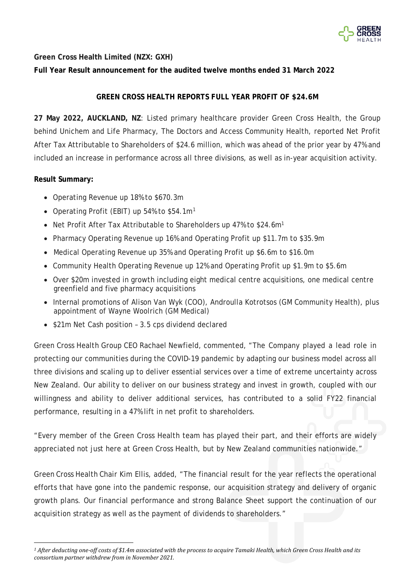

**Green Cross Health Limited (NZX: GXH)**

**Full Year Result announcement for the audited twelve months ended 31 March 2022**

# **GREEN CROSS HEALTH REPORTS FULL YEAR PROFIT OF \$24.6M**

**27 May 2022, AUCKLAND, NZ**: Listed primary healthcare provider Green Cross Health, the Group behind Unichem and Life Pharmacy, The Doctors and Access Community Health, reported Net Profit After Tax Attributable to Shareholders of \$24.6 million, which was ahead of the prior year by 47% and included an increase in performance across all three divisions, as well as in-year acquisition activity.

# **Result Summary:**

- Operating Revenue up 18% to \$670.3m
- Operating Profit (EBIT) up 54% to \$54.[1](#page-0-0)m<sup>1</sup>
- Net Profit After Tax Attributable to Shareholders up 47% to \$24.6m<sup>1</sup>
- Pharmacy Operating Revenue up 16% and Operating Profit up \$11.7m to \$35.9m
- Medical Operating Revenue up 35% and Operating Profit up \$6.6m to \$16.0m
- Community Health Operating Revenue up 12% and Operating Profit up \$1.9m to \$5.6m
- Over \$20m invested in growth including eight medical centre acquisitions, one medical centre greenfield and five pharmacy acquisitions
- Internal promotions of Alison Van Wyk (COO), Androulla Kotrotsos (GM Community Health), plus appointment of Wayne Woolrich (GM Medical)
- \$21m Net Cash position 3.5 cps dividend declared

Green Cross Health Group CEO Rachael Newfield, commented, "The Company played a lead role in protecting our communities during the COVID-19 pandemic by adapting our business model across all three divisions and scaling up to deliver essential services over a time of extreme uncertainty across New Zealand. Our ability to deliver on our business strategy and invest in growth, coupled with our willingness and ability to deliver additional services, has contributed to a solid FY22 financial performance, resulting in a 47% lift in net profit to shareholders.

"Every member of the Green Cross Health team has played their part, and their efforts are widely appreciated not just here at Green Cross Health, but by New Zealand communities nationwide."

Green Cross Health Chair Kim Ellis, added, "The financial result for the year reflects the operational efforts that have gone into the pandemic response, our acquisition strategy and delivery of organic growth plans. Our financial performance and strong Balance Sheet support the continuation of our acquisition strategy as well as the payment of dividends to shareholders."

<span id="page-0-0"></span>*<sup>1</sup> After deducting one-off costs of \$1.4m associated with the process to acquire Tamaki Health, which Green Cross Health and its consortium partner withdrew from in November 2021.*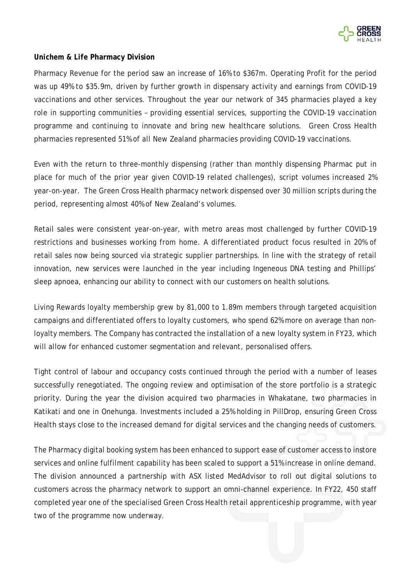

### *Unichem & Life* **Pharmacy Division**

Pharmacy Revenue for the period saw an increase of 16% to \$367m. Operating Profit for the period was up 49% to \$35.9m, driven by further growth in dispensary activity and earnings from COVID-19 vaccinations and other services. Throughout the year our network of 345 pharmacies played a key role in supporting communities – providing essential services, supporting the COVID-19 vaccination programme and continuing to innovate and bring new healthcare solutions. Green Cross Health pharmacies represented 51% of all New Zealand pharmacies providing COVID-19 vaccinations.

Even with the return to three-monthly dispensing (rather than monthly dispensing Pharmac put in place for much of the prior year given COVID-19 related challenges), script volumes increased 2% year-on-year. The Green Cross Health pharmacy network dispensed over 30 million scripts during the period, representing almost 40% of New Zealand's volumes.

Retail sales were consistent year-on-year, with metro areas most challenged by further COVID-19 restrictions and businesses working from home. A differentiated product focus resulted in 20% of retail sales now being sourced via strategic supplier partnerships. In line with the strategy of retail innovation, new services were launched in the year including Ingeneous DNA testing and Phillips' sleep apnoea, enhancing our ability to connect with our customers on health solutions.

Living Rewards loyalty membership grew by 81,000 to 1.89m members through targeted acquisition campaigns and differentiated offers to loyalty customers, who spend 62% more on average than nonloyalty members. The Company has contracted the installation of a new loyalty system in FY23, which will allow for enhanced customer segmentation and relevant, personalised offers.

Tight control of labour and occupancy costs continued through the period with a number of leases successfully renegotiated. The ongoing review and optimisation of the store portfolio is a strategic priority. During the year the division acquired two pharmacies in Whakatane, two pharmacies in Katikati and one in Onehunga. Investments included a 25% holding in PillDrop, ensuring Green Cross Health stays close to the increased demand for digital services and the changing needs of customers.

The Pharmacy digital booking system has been enhanced to support ease of customer access to instore services and online fulfilment capability has been scaled to support a 51% increase in online demand. The division announced a partnership with ASX listed MedAdvisor to roll out digital solutions to customers across the pharmacy network to support an omni-channel experience. In FY22, 450 staff completed year one of the specialised Green Cross Health retail apprenticeship programme, with year two of the programme now underway.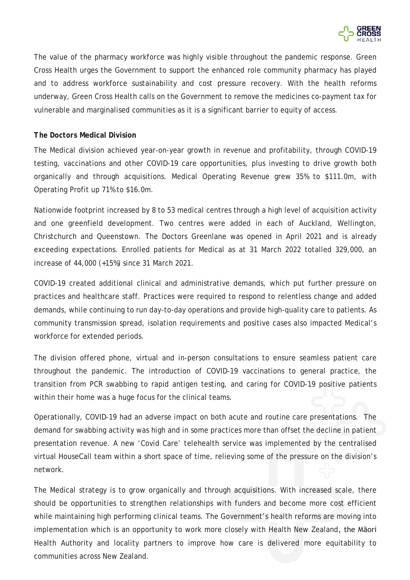

The value of the pharmacy workforce was highly visible throughout the pandemic response. Green Cross Health urges the Government to support the enhanced role community pharmacy has played and to address workforce sustainability and cost pressure recovery. With the health reforms underway, Green Cross Health calls on the Government to remove the medicines co-payment tax for vulnerable and marginalised communities as it is a significant barrier to equity of access.

#### *The Doctors* **Medical Division**

The Medical division achieved year-on-year growth in revenue and profitability, through COVID-19 testing, vaccinations and other COVID-19 care opportunities, plus investing to drive growth both organically and through acquisitions. Medical Operating Revenue grew 35% to \$111.0m, with Operating Profit up 71% to \$16.0m.

Nationwide footprint increased by 8 to 53 medical centres through a high level of acquisition activity and one greenfield development. Two centres were added in each of Auckland, Wellington, Christchurch and Queenstown. The Doctors Greenlane was opened in April 2021 and is already exceeding expectations. Enrolled patients for Medical as at 31 March 2022 totalled 329,000, an increase of 44,000 (+15%) since 31 March 2021.

COVID-19 created additional clinical and administrative demands, which put further pressure on practices and healthcare staff. Practices were required to respond to relentless change and added demands, while continuing to run day-to-day operations and provide high-quality care to patients. As community transmission spread, isolation requirements and positive cases also impacted Medical's workforce for extended periods.

The division offered phone, virtual and in-person consultations to ensure seamless patient care throughout the pandemic. The introduction of COVID-19 vaccinations to general practice, the transition from PCR swabbing to rapid antigen testing, and caring for COVID-19 positive patients within their home was a huge focus for the clinical teams.

Operationally, COVID-19 had an adverse impact on both acute and routine care presentations. The demand for swabbing activity was high and in some practices more than offset the decline in patient presentation revenue. A new 'Covid Care' telehealth service was implemented by the centralised virtual HouseCall team within a short space of time, relieving some of the pressure on the division's network.

The Medical strategy is to grow organically and through acquisitions. With increased scale, there should be opportunities to strengthen relationships with funders and become more cost efficient while maintaining high performing clinical teams. The Government's health reforms are moving into implementation which is an opportunity to work more closely with Health New Zealand, the Māori Health Authority and locality partners to improve how care is delivered more equitability to communities across New Zealand.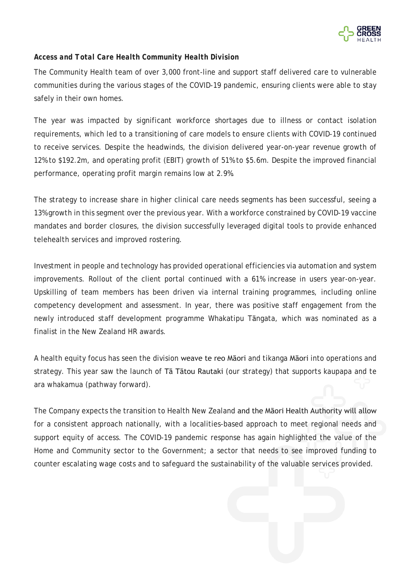

# *Access and Total Care Health Community Health Division*

The Community Health team of over 3,000 front-line and support staff delivered care to vulnerable communities during the various stages of the COVID-19 pandemic, ensuring clients were able to stay safely in their own homes.

The year was impacted by significant workforce shortages due to illness or contact isolation requirements, which led to a transitioning of care models to ensure clients with COVID-19 continued to receive services. Despite the headwinds, the division delivered year-on-year revenue growth of 12% to \$192.2m, and operating profit (EBIT) growth of 51% to \$5.6m. Despite the improved financial performance, operating profit margin remains low at 2.9%.

The strategy to increase share in higher clinical care needs segments has been successful, seeing a 13% growth in this segment over the previous year. With a workforce constrained by COVID-19 vaccine mandates and border closures, the division successfully leveraged digital tools to provide enhanced telehealth services and improved rostering.

Investment in people and technology has provided operational efficiencies via automation and system improvements. Rollout of the client portal continued with a 61% increase in users year-on-year. Upskilling of team members has been driven via internal training programmes, including online competency development and assessment. In year, there was positive staff engagement from the newly introduced staff development programme Whakatipu Tāngata, which was nominated as a finalist in the New Zealand HR awards.

A health equity focus has seen the division weave te reo Māori and tikanga Māori into operations and strategy. This year saw the launch of Tā Tātou Rautaki (our strategy) that supports kaupapa and te ara whakamua (pathway forward).

The Company expects the transition to Health New Zealand and the Māori Health Authority will allow for a consistent approach nationally, with a localities-based approach to meet regional needs and support equity of access. The COVID-19 pandemic response has again highlighted the value of the Home and Community sector to the Government; a sector that needs to see improved funding to counter escalating wage costs and to safeguard the sustainability of the valuable services provided.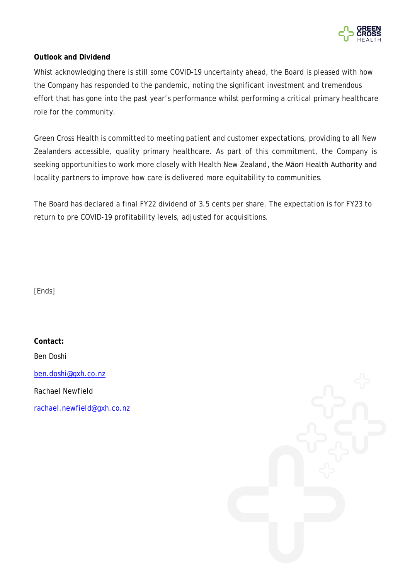

## **Outlook and Dividend**

Whist acknowledging there is still some COVID-19 uncertainty ahead, the Board is pleased with how the Company has responded to the pandemic, noting the significant investment and tremendous effort that has gone into the past year's performance whilst performing a critical primary healthcare role for the community.

Green Cross Health is committed to meeting patient and customer expectations, providing to all New Zealanders accessible, quality primary healthcare. As part of this commitment, the Company is seeking opportunities to work more closely with Health New Zealand, the Māori Health Authority and locality partners to improve how care is delivered more equitability to communities.

The Board has declared a final FY22 dividend of 3.5 cents per share. The expectation is for FY23 to return to pre COVID-19 profitability levels, adjusted for acquisitions.

[Ends]

**Contact:**

Ben Doshi

[ben.doshi@gxh.co.nz](mailto:lisa.getkate@gxh.co.nz)

Rachael Newfield

rachael.newfield@gxh.co.nz